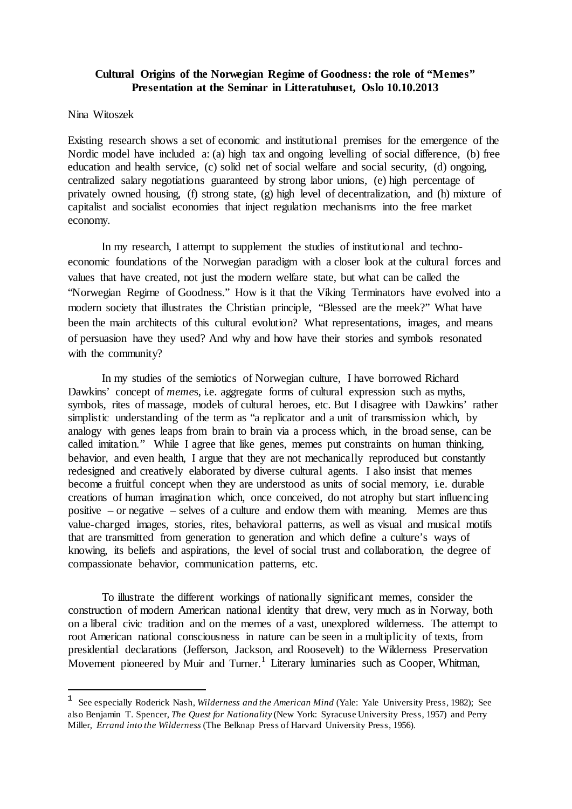## **Cultural Origins of the Norwegian Regime of Goodness: the role of "Memes" Presentation at the Seminar in Litteratuhuset, Oslo 10.10.2013**

## Nina Witoszek

1

Existing research shows a set of economic and institutional premises for the emergence of the Nordic model have included a: (a) high tax and ongoing levelling of social difference, (b) free education and health service, (c) solid net of social welfare and social security, (d) ongoing, centralized salary negotiations guaranteed by strong labor unions, (e) high percentage of privately owned housing, (f) strong state, (g) high level of decentralization, and (h) mixture of capitalist and socialist economies that inject regulation mechanisms into the free market economy.

In my research, I attempt to supplement the studies of institutional and technoeconomic foundations of the Norwegian paradigm with a closer look at the cultural forces and values that have created, not just the modern welfare state, but what can be called the "Norwegian Regime of Goodness." How is it that the Viking Terminators have evolved into a modern society that illustrates the Christian principle, "Blessed are the meek?" What have been the main architects of this cultural evolution? What representations, images, and means of persuasion have they used? And why and how have their stories and symbols resonated with the community?

In my studies of the semiotics of Norwegian culture, I have borrowed Richard Dawkins' concept of *memes*, i.e. aggregate forms of cultural expression such as myths, symbols, rites of massage, models of cultural heroes, etc. But I disagree with Dawkins' rather simplistic understanding of the term as "a replicator and a unit of transmission which, by analogy with genes leaps from brain to brain via a process which, in the broad sense, can be called imitation." While I agree that like genes, memes put constraints on human thinking, behavior, and even health. I argue that they are not mechanically reproduced but constantly redesigned and creatively elaborated by diverse cultural agents. I also insist that memes become a fruitful concept when they are understood as units of social memory, i.e. durable creations of human imagination which, once conceived, do not atrophy but start influencing positive – or negative – selves of a culture and endow them with meaning. Memes are thus value-charged images, stories, rites, behavioral patterns, as well as visual and musical motifs that are transmitted from generation to generation and which define a culture's ways of knowing, its beliefs and aspirations, the level of social trust and collaboration, the degree of compassionate behavior, communication patterns, etc.

To illustrate the different workings of nationally significant memes, consider the construction of modern American national identity that drew, very much as in Norway, both on a liberal civic tradition and on the memes of a vast, unexplored wilderness. The attempt to root American national consciousness in nature can be seen in a multiplicity of texts, from presidential declarations (Jefferson, Jackson, and Roosevelt) to the Wilderness Preservation Movement pioneered by Muir and Turner.<sup>[1](#page-0-0)</sup> Literary luminaries such as Cooper, Whitman,

<span id="page-0-0"></span><sup>1</sup> See especially Roderick Nash, *Wilderness and the American Mind* (Yale: Yale University Press, 1982); See also Benjamin T. Spencer, *The Quest for Nationality* (New York: Syracuse University Press, 1957) and Perry Miller, *Errand into the Wilderness* (The Belknap Press of Harvard University Press, 1956).